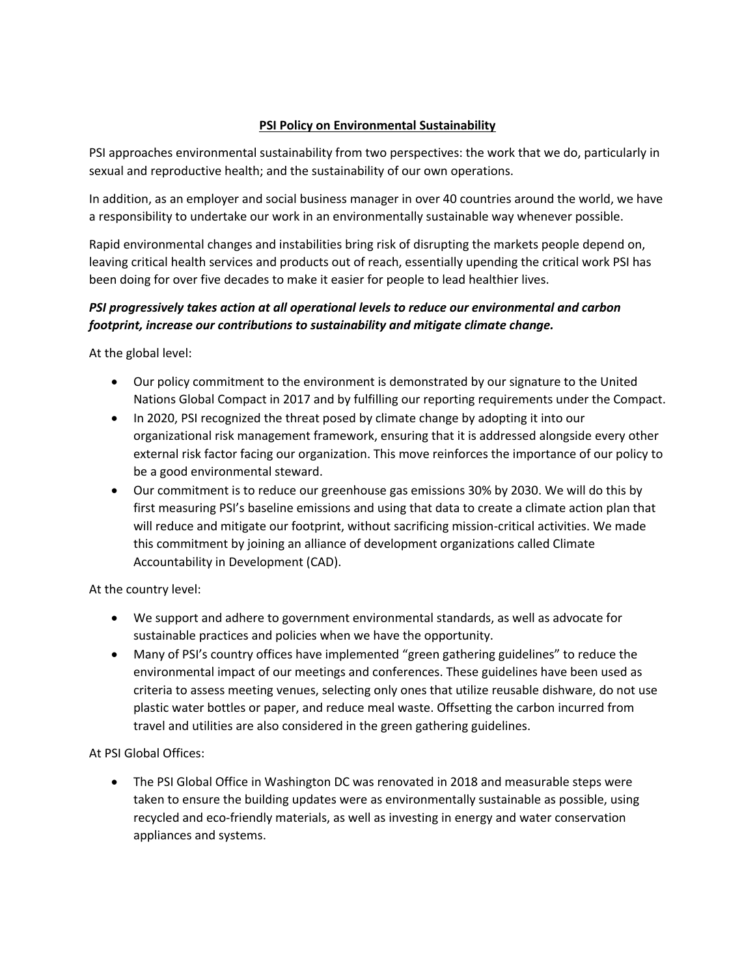## **PSI Policy on Environmental Sustainability**

PSI approaches environmental sustainability from two perspectives: the work that we do, particularly in sexual and reproductive health; and the sustainability of our own operations.

In addition, as an employer and social business manager in over 40 countries around the world, we have a responsibility to undertake our work in an environmentally sustainable way whenever possible.

Rapid environmental changes and instabilities bring risk of disrupting the markets people depend on, leaving critical health services and products out of reach, essentially upending the critical work PSI has been doing for over five decades to make it easier for people to lead healthier lives.

## *PSI progressively takes action at all operational levels to reduce our environmental and carbon footprint, increase our contributions to sustainability and mitigate climate change.*

At the global level:

- Our policy commitment to the environment is demonstrated by our signature to the United Nations Global Compact in 2017 and by fulfilling our reporting requirements under the Compact.
- In 2020, PSI recognized the threat posed by climate change by adopting it into our organizational risk management framework, ensuring that it is addressed alongside every other external risk factor facing our organization. This move reinforces the importance of our policy to be a good environmental steward.
- Our commitment is to reduce our greenhouse gas emissions 30% by 2030. We will do this by first measuring PSI's baseline emissions and using that data to create a climate action plan that will reduce and mitigate our footprint, without sacrificing mission-critical activities. We made this commitment by joining an alliance of development organizations called Climate Accountability in Development (CAD).

At the country level:

- We support and adhere to government environmental standards, as well as advocate for sustainable practices and policies when we have the opportunity.
- Many of PSI's country offices have implemented "green gathering guidelines" to reduce the environmental impact of our meetings and conferences. These guidelines have been used as criteria to assess meeting venues, selecting only ones that utilize reusable dishware, do not use plastic water bottles or paper, and reduce meal waste. Offsetting the carbon incurred from travel and utilities are also considered in the green gathering guidelines.

At PSI Global Offices:

• The PSI Global Office in Washington DC was renovated in 2018 and measurable steps were taken to ensure the building updates were as environmentally sustainable as possible, using recycled and eco-friendly materials, as well as investing in energy and water conservation appliances and systems.